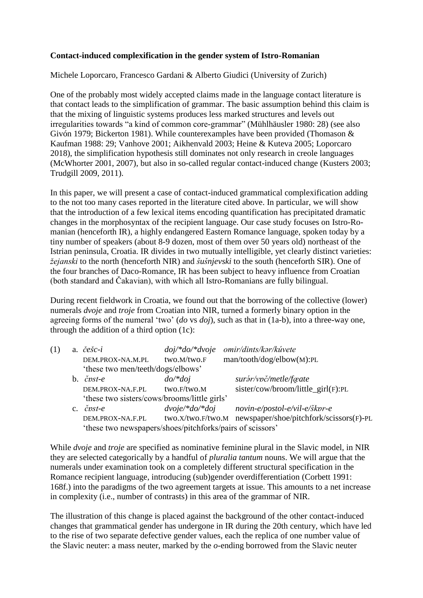## **Contact-induced complexification in the gender system of Istro-Romanian**

Michele Loporcaro, Francesco Gardani & Alberto Giudici (University of Zurich)

One of the probably most widely accepted claims made in the language contact literature is that contact leads to the simplification of grammar. The basic assumption behind this claim is that the mixing of linguistic systems produces less marked structures and levels out irregularities towards "a kind of common core-grammar" (Mühlhäusler 1980: 28) (see also Givón 1979; Bickerton 1981). While counterexamples have been provided (Thomason & Kaufman 1988: 29; Vanhove 2001; Aikhenvald 2003; Heine & Kuteva 2005; Loporcaro 2018), the simplification hypothesis still dominates not only research in creole languages (McWhorter 2001, 2007), but also in so-called regular contact-induced change (Kusters 2003; Trudgill 2009, 2011).

In this paper, we will present a case of contact-induced grammatical complexification adding to the not too many cases reported in the literature cited above. In particular, we will show that the introduction of a few lexical items encoding quantification has precipitated dramatic changes in the morphosyntax of the recipient language. Our case study focuses on Istro-Romanian (henceforth IR), a highly endangered Eastern Romance language, spoken today by a tiny number of speakers (about 8-9 dozen, most of them over 50 years old) northeast of the Istrian peninsula, Croatia. IR divides in two mutually intelligible, yet clearly distinct varieties: *žejanski* to the north (henceforth NIR) and *šušnjevski* to the south (henceforth SIR). One of the four branches of Daco-Romance, IR has been subject to heavy influence from Croatian (both standard and Čakavian), with which all Istro-Romanians are fully bilingual.

During recent fieldwork in Croatia, we found out that the borrowing of the collective (lower) numerals *dvoje* and *troje* from Croatian into NIR, turned a formerly binary option in the agreeing forms of the numeral 'two' (*do* vs *doj*), such as that in (1a-b), into a three-way one, through the addition of a third option (1c):

|  |                                                           | a. $\check{c}\check{e}\check{s}\check{c}$ -i | $doj$ /* $doj$ /* $dvoje$ | omir/dints/kar/kúvete                   |
|--|-----------------------------------------------------------|----------------------------------------------|---------------------------|-----------------------------------------|
|  |                                                           | DEM.PROX-NA.M.PL                             | two.M/two.F               | man/tooth/dog/elbow(M):PL               |
|  |                                                           | 'these two men/teeth/dogs/elbows'            |                           |                                         |
|  |                                                           | b. $\check{c}p$ st-e                         | $do$ /* $doj$             | surár/vpč/metle/fæate                   |
|  |                                                           | DEM.PROX-NA.F.PL                             | two.F/two.M               | sister/cow/broom/little_girl(F):PL      |
|  |                                                           | 'these two sisters/cows/brooms/little girls' |                           |                                         |
|  |                                                           | c. $\check{c}$ <i>pst-e</i>                  | $dvoje/*do/*doj$          | novin-e/postol-e/vil-e/škpr-e           |
|  |                                                           | DEM.PROX-NA.F.PL                             | two.X/two.F/two.M         | newspaper/shoe/pitchfork/scissors(F)-PL |
|  | 'these two newspapers/shoes/pitchforks/pairs of scissors' |                                              |                           |                                         |

While *dvoje* and *troje* are specified as nominative feminine plural in the Slavic model, in NIR they are selected categorically by a handful of *pluralia tantum* nouns. We will argue that the numerals under examination took on a completely different structural specification in the Romance recipient language, introducing (sub)gender overdifferentiation (Corbett 1991: 168f.) into the paradigms of the two agreement targets at issue. This amounts to a net increase in complexity (i.e., number of contrasts) in this area of the grammar of NIR.

The illustration of this change is placed against the background of the other contact-induced changes that grammatical gender has undergone in IR during the 20th century, which have led to the rise of two separate defective gender values, each the replica of one number value of the Slavic neuter: a mass neuter, marked by the *o*-ending borrowed from the Slavic neuter